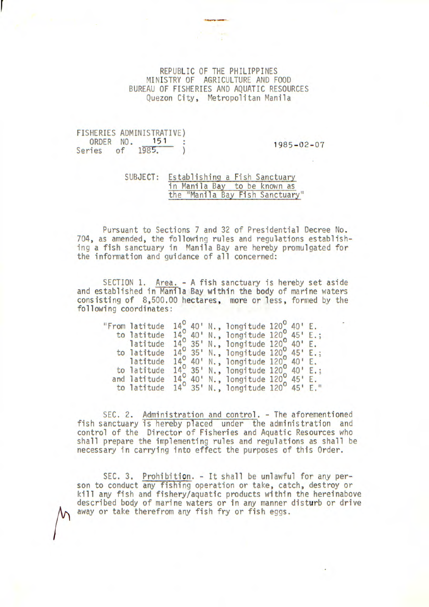## REPUBLIC OF THE PHILIPPINES MINISTRY OF AGRICULTURE AND FOOD BUREAU OF FISHERIES AND AQUATIC RESOURCES Quezon City, Metropolitan Manila

## FISHERIES ADMINISTRATIVE)<br>ORDER NO. 151 : 1985-02-07 ORDER NO. 151 :<br>Series of 1985. )

## SUBJECT: Establishing a Fish Sanctuary in Manila Bay to be known as the "Manila Bay Fish Sanctuary"

Pursuant to Sections 7 and 32 of Presidential Decree No. 704, as amended, the following rules and regulations establishing a fish sanctuary in Manila Bay are hereby promulgated for the information and guidance of all concerned:

SECTION 1. Area. - A fish sanctuary is hereby set aside and established in Manila Bay within the body of marine waters consisting of 8,500.00 hectares, more or less, formed by the following coordinates:

| "From latitude |  | $14^{\circ}$ 40' N., longitude $120^{\circ}$ 40' E.        |  |  |
|----------------|--|------------------------------------------------------------|--|--|
| to latitude    |  | $14^{\circ}$ 40' N., longitude $120^{\circ}$ 45' E.;       |  |  |
| latitude       |  | $14^{\circ}$ 35' N., longitude $120^{\circ}$ 40' E.        |  |  |
| to latitude    |  | 14, 35' N., longitude 120, 45' E.;                         |  |  |
| latitude       |  | $14^{\circ}$ 40' N., longitude 120, 40' E.                 |  |  |
| to latitude    |  | 14 <sup>0</sup> 35' N., longitude 120 <sup>0</sup> 40' E.; |  |  |
| and latitude   |  | $14^{\circ}$ 40! N., longitude $120^{\circ}$ 45' E.        |  |  |
| to latitude    |  | 14 <sup>0</sup> 35' N., longitude 120 <sup>0</sup> 45' E." |  |  |

SEC. 2. Administration and control. - The aforementioned fish sanctuary is hereby placed under the administration and control of the Director of Fisheries and Aquatic Resources who shall prepare the implementing rules and regulations as shall be necessary in carrying into effect the purposes of this Order.

SEC. 3. Prohibition. - It shall be unlawful for any person to conduct any fishing operation or take, catch, destroy or kill any fish and fishery/aquatic products within the hereinabove described body of marine waters or in any manner disturb or drive away or take therefrom any fish fry or fish eggs.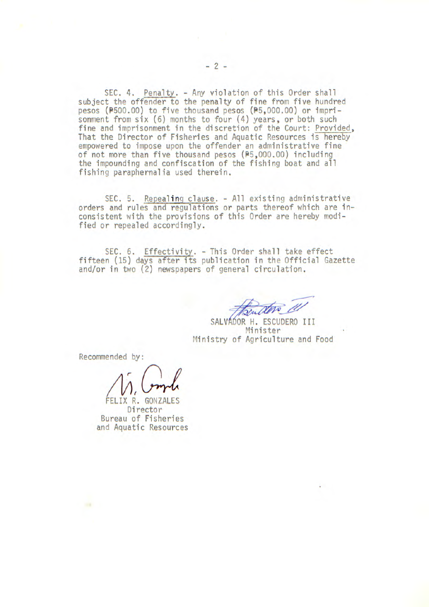SEC. 4. Penalty. - Any violation of this Order shall subject the offender to the penalty of fine from five hundred pesos (P500.00) to five thousand pesos (P5,000.00) or imprisonment from six (6) months to four (4) years, or both such fine and imprisonment in the discretion of the Court: Provided, That the Director of Fisheries and Aquatic Resources is hereby empowered to impose upon the offender an administrative fine of not more than five thousand pesos (P5,000.00) including the impounding and confiscation of the fishing boat and all fishing paraphernalia used therein.

SEC. 5. Repealing clause. - All existing administrative orders and rules and regulations or parts thereof which are inconsistent with the provisions of this Order are hereby modified or repealed accordingly.

SEC. 6. Effectivity. - This Order shall take effect fifteen (15) days after its publication in the Official Gazette and/or in two (2) newspapers of general circulation.

SALVAOOR H. ESCUDERO III Minister Ministry of Agriculture and Food

Recommended by:

 $\sim$ 

 $M$ , Comple

FELIX R. GONZALES Director Bureau of Fisheries and Aquatic Resources